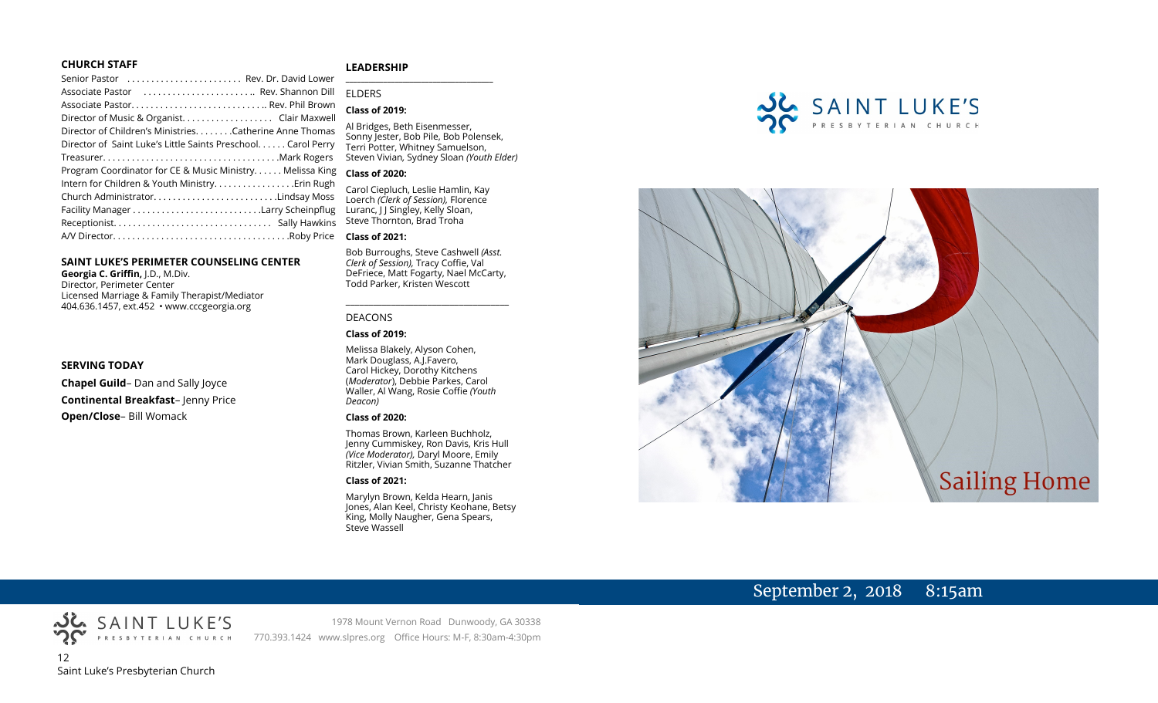### **CHURCH STAFF**

### **LEADERSHIP**

Senior Pastor . . . . . . . . . . . . . . . . . . . . . . . . Rev. Dr. David Lower Associate Pastor . . . . . . . . . . . . . . . . . . . . . . .. Rev. Shannon Dill Associate Pastor. . . . . . . . . . . . . . . . . . . . . . . . . . . .. Rev. Phil Brown Director of Music & Organist. . . . . . . . . . . . . . . . . . . Clair Maxwell Director of Children's Ministries. . . . . . . .Catherine Anne Thomas Director of Saint Luke's Little Saints Preschool. . . . . . Carol Perry Treasurer. . . . . . . . . . . . . . . . . . . . . . . . . . . . . . . . . . . . .Mark Rogers Program Coordinator for CE & Music Ministry. . . . . . Melissa King **Class of 2020:** Intern for Children & Youth Ministry...............Erin Rugh Church Administrator. . . . . . . . . . . . . . . . . . . . . . . . . .Lindsay Moss Facility Manager . . . . . . . . . . . . . . . . . . . . . . . . . . .Larry Scheinpflug Receptionist. . . . . . . . . . . . . . . . . . . . . . . . . . . . . . . . . Sally Hawkins A/V Director. . . . . . . . . . . . . . . . . . . . . . . . . . . . . . . . . . . . .Roby Price **Class of 2021:**

### **SAINT LUKE'S PERIMETER COUNSELING CENTER**

**Georgia C. Griffin,** J.D., M.Div. Director, Perimeter Center Licensed Marriage & Family Therapist/Mediator 404.636.1457, ext.452 • www.cccgeorgia.org

### **SERVING TODAY**

**Chapel Guild**– Dan and Sally Joyce **Continental Breakfast**– Jenny Price **Open/Close**– Bill Womack

# ELDERS **Class of 2019:**

**\_\_\_\_\_\_\_\_\_\_\_\_\_\_\_\_\_\_\_\_\_\_\_\_\_\_\_\_\_\_\_\_\_\_\_\_\_\_\_**

Al Bridges, Beth Eisenmesser, Sonny Jester, Bob Pile, Bob Polensek, Terri Potter, Whitney Samuelson, Steven Vivian*,* Sydney Sloan *(Youth Elder)*

Carol Ciepluch, Leslie Hamlin, Kay Loerch *(Clerk of Session),* Florence Luranc, J J Singley, Kelly Sloan, Steve Thornton, Brad Troha

Bob Burroughs, Steve Cashwell *(Asst. Clerk of Session),* Tracy Coffie, Val DeFriece, Matt Fogarty, Nael McCarty, Todd Parker, Kristen Wescott

\_\_\_\_\_\_\_\_\_\_\_\_\_\_\_\_\_\_\_\_\_\_\_\_\_\_\_\_\_\_\_\_\_\_\_\_

### DEACONS

### **Class of 2019:**

Melissa Blakely, Alyson Cohen, Mark Douglass, A.J.Favero, Carol Hickey, Dorothy Kitchens (*Moderator*), Debbie Parkes, Carol Waller, Al Wang, Rosie Coffie *(Youth Deacon)* 

### **Class of 2020:**

Thomas Brown, Karleen Buchholz, Jenny Cummiskey, Ron Davis, Kris Hull *(Vice Moderator),* Daryl Moore, Emily Ritzler, Vivian Smith, Suzanne Thatcher

### **Class of 2021:**

Marylyn Brown, Kelda Hearn, Janis Jones, Alan Keel, Christy Keohane, Betsy King, Molly Naugher, Gena Spears, Steve Wassell





## September 2, 2018 8:15am



1978 Mount Vernon Road Dunwoody, GA 30338 770.393.1424 www.slpres.org Office Hours: M-F, 8:30am-4:30pm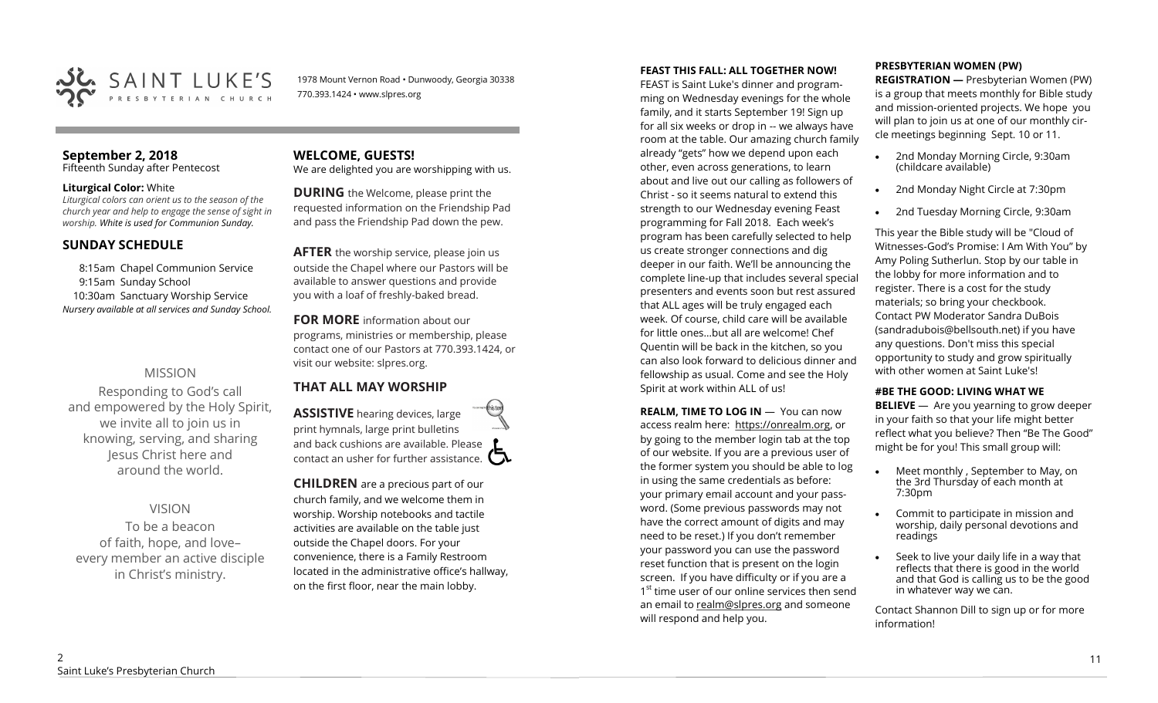

1978 Mount Vernon Road • Dunwoody, Georgia 30338 770.393.1424 • www.slpres.org

### **September 2, 2018**

Fifteenth Sunday after Pentecost

### **Liturgical Color:** White

*Liturgical colors can orient us to the season of the church year and help to engage the sense of sight in worship. White is used for Communion Sunday.*

### **SUNDAY SCHEDULE**

8:15am Chapel Communion Service 9:15am Sunday School 10:30am Sanctuary Worship Service *Nursery available at all services and Sunday School.* 

### MISSION

Responding to God's call and empowered by the Holy Spirit, we invite all to join us in knowing, serving, and sharing Jesus Christ here and around the world.

### VISION

To be a beacon of faith, hope, and love– every member an active disciple in Christ's ministry.

### **WELCOME, GUESTS!**  We are delighted you are worshipping with us.

**DURING** the Welcome, please print the requested information on the Friendship Pad and pass the Friendship Pad down the pew.

**AFTER** the worship service, please join us outside the Chapel where our Pastors will be available to answer questions and provide you with a loaf of freshly-baked bread.

**FOR MORE** information about our programs, ministries or membership, please contact one of our Pastors at 770.393.1424, or visit our website: slpres.org.

### **THAT ALL MAY WORSHIP**

**ASSISTIVE** hearing devices, large print hymnals, large print bulletins and back cushions are available. Please contact an usher for further assistance.  $\Box$ 

**CHILDREN** are a precious part of our church family, and we welcome them in worship. Worship notebooks and tactile activities are available on the table just outside the Chapel doors. For your convenience, there is a Family Restroom located in the administrative office's hallway, on the first floor, near the main lobby.

### **FEAST THIS FALL: ALL TOGETHER NOW!**

FEAST is Saint Luke's dinner and programming on Wednesday evenings for the whole family, and it starts September 19! Sign up for all six weeks or drop in -- we always have room at the table. Our amazing church family already "gets" how we depend upon each other, even across generations, to learn about and live out our calling as followers of Christ - so it seems natural to extend this strength to our Wednesday evening Feast programming for Fall 2018. Each week's program has been carefully selected to help us create stronger connections and dig deeper in our faith. We'll be announcing the complete line-up that includes several special presenters and events soon but rest assured that ALL ages will be truly engaged each week. Of course, child care will be available for little ones…but all are welcome! Chef Quentin will be back in the kitchen, so you can also look forward to delicious dinner and fellowship as usual. Come and see the Holy Spirit at work within ALL of us!

**REALM. TIME TO LOG IN - You can now** access realm here: [https://onrealm.org,](https://onrealm.org) or by going to the member login tab at the top of our website. If you are a previous user of the former system you should be able to log in using the same credentials as before: your primary email account and your password. (Some previous passwords may not have the correct amount of digits and may need to be reset.) If you don't remember your password you can use the password reset function that is present on the login screen. If you have difficulty or if you are a 1<sup>st</sup> time user of our online services then send an email to [realm@slpres.org](mailto:realm@slpres.org) and someone will respond and help you.

### **PRESBYTERIAN WOMEN (PW)**

**REGISTRATION —** Presbyterian Women (PW) is a group that meets monthly for Bible study and mission-oriented projects. We hope you will plan to join us at one of our monthly circle meetings beginning Sept. 10 or 11.

- 2nd Monday Morning Circle, 9:30am (childcare available)
- 2nd Monday Night Circle at 7:30pm
- 2nd Tuesday Morning Circle, 9:30am

This year the Bible study will be "Cloud of Witnesses-God's Promise: I Am With You" by Amy Poling Sutherlun. Stop by our table in the lobby for more information and to register. There is a cost for the study materials; so bring your checkbook. Contact PW Moderator Sandra DuBois (sandradubois@bellsouth.net) if you have any questions. Don't miss this special opportunity to study and grow spiritually with other women at Saint Luke's!

### **#BE THE GOOD: LIVING WHAT WE**

**BELIEVE** —Are you yearning to grow deeper in your faith so that your life might better reflect what you believe? Then "Be The Good" might be for you! This small group will:

- Meet monthly , September to May, on the 3rd Thursday of each month at 7:30pm
- Commit to participate in mission and worship, daily personal devotions and readings
- Seek to live your daily life in a way that reflects that there is good in the world and that God is calling us to be the good in whatever way we can.

Contact Shannon Dill to sign up or for more information!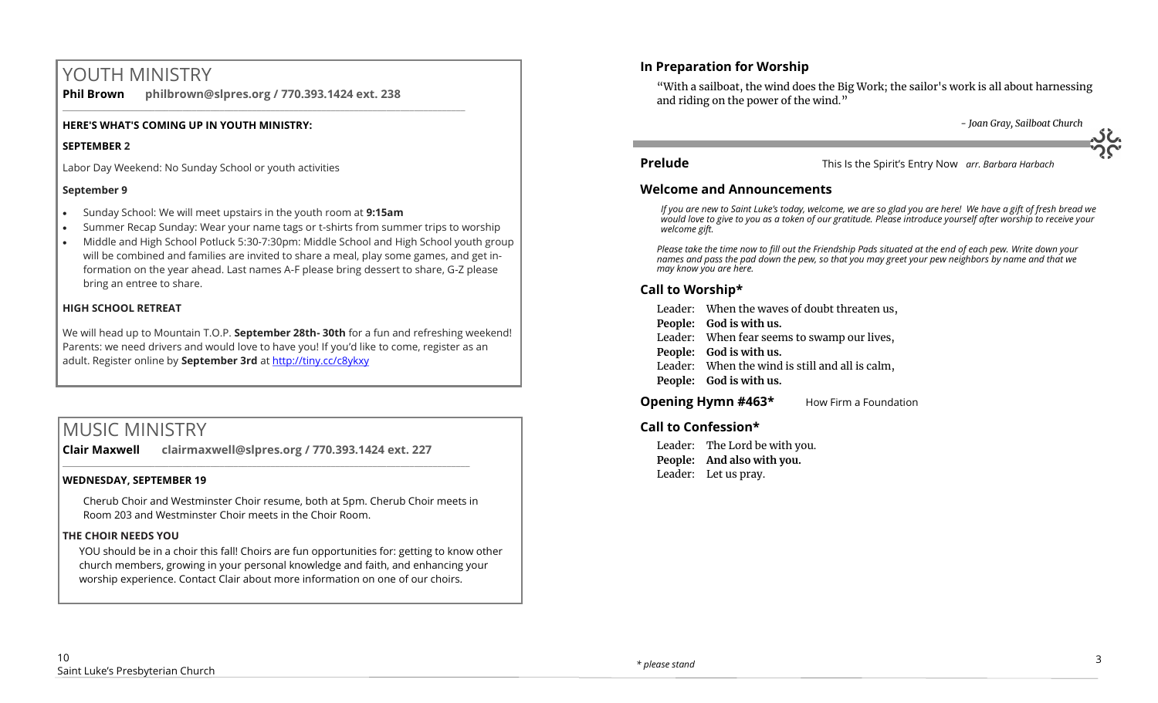# YOUTH MINISTRY

**Phil Brown philbrown@slpres.org / 770.393.1424 ext. 238**  \_\_\_\_\_\_\_\_\_\_\_\_\_\_\_\_\_\_\_\_\_\_\_\_\_\_\_\_\_\_\_\_\_\_\_\_\_\_\_\_\_\_\_\_\_\_\_\_\_\_\_\_\_\_\_\_\_\_\_\_\_\_\_\_\_\_\_\_\_\_\_\_\_\_\_\_\_\_\_\_\_\_\_\_\_\_\_

### **HERE'S WHAT'S COMING UP IN YOUTH MINISTRY:**

### **SEPTEMBER 2**

Labor Day Weekend: No Sunday School or youth activities

### **September 9**

- Sunday School: We will meet upstairs in the youth room at **9:15am**
- Summer Recap Sunday: Wear your name tags or t-shirts from summer trips to worship
- Middle and High School Potluck 5:30-7:30pm: Middle School and High School youth group will be combined and families are invited to share a meal, play some games, and get information on the year ahead. Last names A-F please bring dessert to share, G-Z please bring an entree to share.

### **HIGH SCHOOL RETREAT**

We will head up to Mountain T.O.P. **September 28th- 30th** for a fun and refreshing weekend! Parents: we need drivers and would love to have you! If you'd like to come, register as an adult. Register online by **September 3rd** at <http://tiny.cc/c8ykxy>

# MUSIC MINISTRY

**Clair Maxwell clairmaxwell@slpres.org / 770.393.1424 ext. 227** 

 $\_$  ,  $\_$  ,  $\_$  ,  $\_$  ,  $\_$  ,  $\_$  ,  $\_$  ,  $\_$  ,  $\_$  ,  $\_$  ,  $\_$  ,  $\_$  ,  $\_$  ,  $\_$  ,  $\_$  ,  $\_$  ,  $\_$  ,  $\_$  ,  $\_$ 

### **WEDNESDAY, SEPTEMBER 19**

Cherub Choir and Westminster Choir resume, both at 5pm. Cherub Choir meets in Room 203 and Westminster Choir meets in the Choir Room.

### **THE CHOIR NEEDS YOU**

YOU should be in a choir this fall! Choirs are fun opportunities for: getting to know other church members, growing in your personal knowledge and faith, and enhancing your worship experience. Contact Clair about more information on one of our choirs.

### **In Preparation for Worship**

"With a sailboat, the wind does the Big Work; the sailor's work is all about harnessing and riding on the power of the wind."

*- Joan Gray, Sailboat Church*

**Prelude** This Is the Spirit's Entry Now *arr. Barbara Harbach* 

### **Welcome and Announcements**

*If you are new to Saint Luke's today, welcome, we are so glad you are here! We have a gift of fresh bread we would love to give to you as a token of our gratitude. Please introduce yourself after worship to receive your welcome gift.*

*Please take the time now to fill out the Friendship Pads situated at the end of each pew. Write down your names and pass the pad down the pew, so that you may greet your pew neighbors by name and that we may know you are here.*

### **Call to Worship\***

Leader: When the waves of doubt threaten us,

**People: God is with us.**

- Leader: When fear seems to swamp our lives,
- **People: God is with us.**
- Leader: When the wind is still and all is calm,
- **People: God is with us.**

**Opening Hymn #463\*** How Firm a Foundation

### **Call to Confession\***

Leader: The Lord be with you. **People: And also with you.** Leader: Let us pray.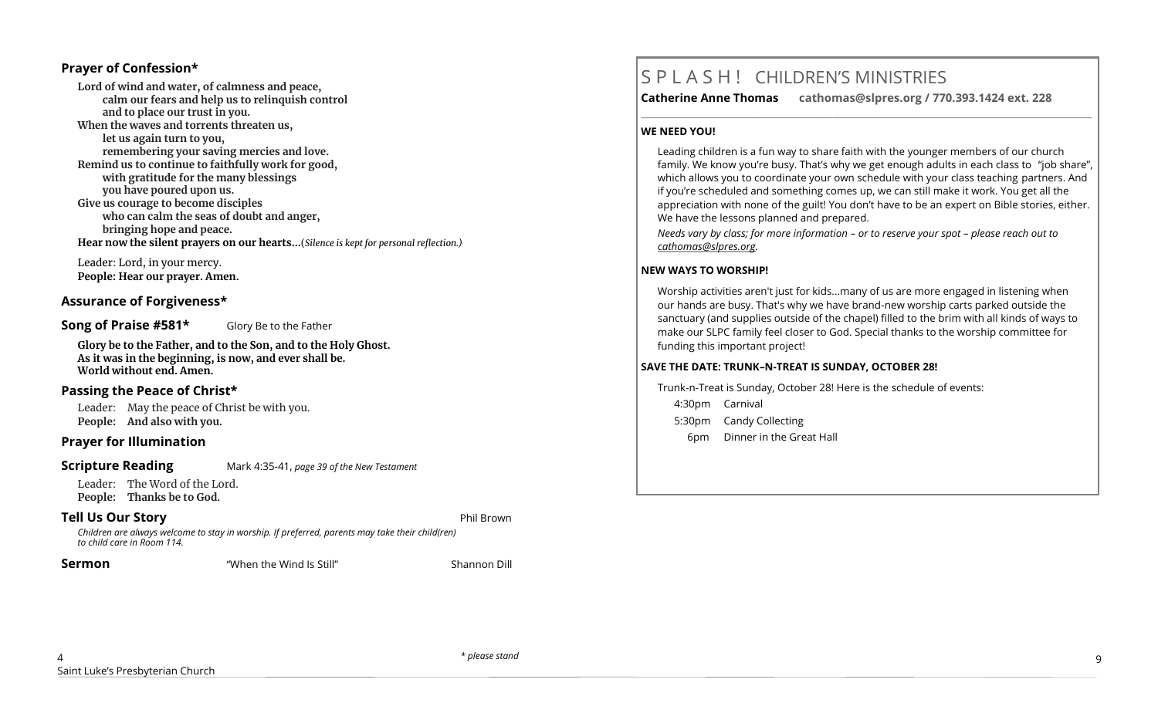### **Prayer of Confession\***

**Lord of wind and water, of calmness and peace, calm our fears and help us to relinquish control and to place our trust in you. When the waves and torrents threaten us, let us again turn to you, remembering your saving mercies and love. Remind us to continue to faithfully work for good, with gratitude for the many blessings you have poured upon us. Give us courage to become disciples who can calm the seas of doubt and anger, bringing hope and peace. Hear now the silent prayers on our hearts...**(*Silence is kept for personal reflection.)*

Leader: Lord, in your mercy. **People: Hear our prayer. Amen.**

### **Assurance of Forgiveness\***

### **Song of Praise #581\*** Glory Be to the Father

**Glory be to the Father, and to the Son, and to the Holy Ghost. As it was in the beginning, is now, and ever shall be. World without end. Amen.**

### **Passing the Peace of Christ\***

Leader: May the peace of Christ be with you. **People: And also with you.** 

### **Prayer for Illumination**

### **Scripture Reading** Mark 4:35-41, *page 39 of the New Testament*

Leader: The Word of the Lord. **People: Thanks be to God.** 

### **Tell Us Our Story** Phil Brown

*Children are always welcome to stay in worship. If preferred, parents may take their child(ren) to child care in Room 114.*

**Sermon Sermon 1988 1988 1989 1989 1989 1989 1989 1989 1989 1989 1989 1989 1989 1989 1989 1989 1989 1989 1989 1989 1989 1989 1989 1989 1989 1989 1989 1989 1989**

# S P L A S H ! CHILDREN'S MINISTRIES

**Catherine Anne Thomas cathomas@slpres.org / 770.393.1424 ext. 228** 

**\_\_\_\_\_\_\_\_\_\_\_\_\_\_\_\_\_\_\_\_\_\_\_\_\_\_\_\_\_\_\_\_\_\_\_\_\_\_\_\_\_\_\_\_\_\_\_\_\_\_\_\_\_\_\_\_\_\_\_\_\_\_\_\_\_\_\_\_\_\_\_\_\_\_\_\_\_\_\_\_\_\_\_\_\_\_\_\_\_\_\_\_\_\_\_\_\_\_\_\_\_\_\_\_\_\_** 

### **WE NEED YOU!**

Leading children is a fun way to share faith with the younger members of our church family. We know you're busy. That's why we get enough adults in each class to "job share", which allows you to coordinate your own schedule with your class teaching partners. And if you're scheduled and something comes up, we can still make it work. You get all the appreciation with none of the guilt! You don't have to be an expert on Bible stories, either. We have the lessons planned and prepared.

*Needs vary by class; for more information – or to reserve your spot – please reach out to [cathomas@slpres.org.](mailto:cathomas@slpres.org)*

### **NEW WAYS TO WORSHIP!**

Worship activities aren't just for kids...many of us are more engaged in listening when our hands are busy. That's why we have brand-new worship carts parked outside the sanctuary (and supplies outside of the chapel) filled to the brim with all kinds of ways to make our SLPC family feel closer to God. Special thanks to the worship committee for funding this important project!

### **SAVE THE DATE: TRUNK–N-TREAT IS SUNDAY, OCTOBER 28!**

Trunk-n-Treat is Sunday, October 28! Here is the schedule of events: 4:30pm Carnival

- 5:30pm Candy Collecting
- 6pm Dinner in the Great Hall

*\* please stand* 9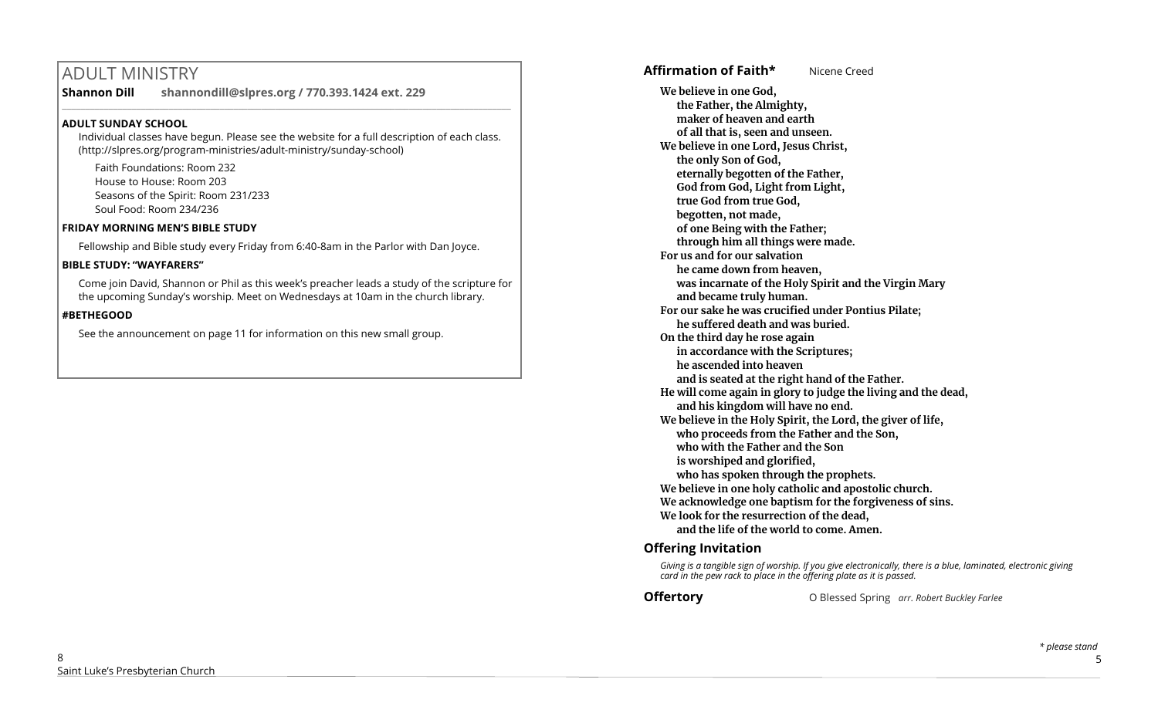# ADULT MINISTRY

**Shannon Dill shannondill@slpres.org / 770.393.1424 ext. 229** 

### **ADULT SUNDAY SCHOOL**

Individual classes have begun. Please see the website for a full description of each class. (http://slpres.org/program-ministries/adult-ministry/sunday-school)

 $\_$  ,  $\_$  ,  $\_$  ,  $\_$  ,  $\_$  ,  $\_$  ,  $\_$  ,  $\_$  ,  $\_$  ,  $\_$  ,  $\_$  ,  $\_$  ,  $\_$  ,  $\_$  ,  $\_$  ,  $\_$  ,  $\_$  ,  $\_$  ,  $\_$ 

Faith Foundations: Room 232 House to House: Room 203 Seasons of the Spirit: Room 231/233 Soul Food: Room 234/236

### **FRIDAY MORNING MEN'S BIBLE STUDY**

Fellowship and Bible study every Friday from 6:40-8am in the Parlor with Dan Joyce.

### **BIBLE STUDY: "WAYFARERS"**

Come join David, Shannon or Phil as this week's preacher leads a study of the scripture for the upcoming Sunday's worship. Meet on Wednesdays at 10am in the church library.

### **#BETHEGOOD**

See the announcement on page 11 for information on this new small group.

# **Affirmation of Faith\*** Nicene Creed

**We believe in one God, the Father, the Almighty, maker of heaven and earth of all that is, seen and unseen. We believe in one Lord, Jesus Christ, the only Son of God, eternally begotten of the Father, God from God, Light from Light, true God from true God, begotten, not made, of one Being with the Father; through him all things were made. For us and for our salvation he came down from heaven, was incarnate of the Holy Spirit and the Virgin Mary and became truly human. For our sake he was crucified under Pontius Pilate; he suffered death and was buried. On the third day he rose again in accordance with the Scriptures; he ascended into heaven and is seated at the right hand of the Father. He will come again in glory to judge the living and the dead, and his kingdom will have no end. We believe in the Holy Spirit, the Lord, the giver of life, who proceeds from the Father and the Son, who with the Father and the Son is worshiped and glorified, who has spoken through the prophets. We believe in one holy catholic and apostolic church. We acknowledge one baptism for the forgiveness of sins. We look for the resurrection of the dead, and the life of the world to come. Amen.**

### **Offering Invitation**

*Giving is a tangible sign of worship. If you give electronically, there is a blue, laminated, electronic giving card in the pew rack to place in the offering plate as it is passed.*

**Offertory** O Blessed Spring *arr. Robert Buckley Farlee*